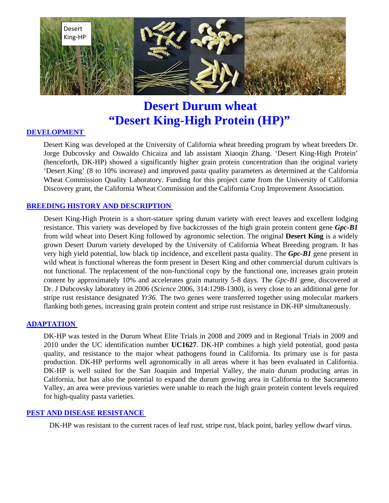

# **Desert Durum wheat "Desert King-High Protein (HP)"**

# **DEVELOPMENT**

Desert King was developed at the University of California wheat breeding program by wheat breeders Dr. Jorge Dubcovsky and Oswaldo Chicaiza and lab assistant Xiaoqin Zhang. 'Desert King-High Protein' (henceforth, DK-HP) showed a significantly higher grain protein concentration than the original variety 'Desert King' (8 to 10% increase) and improved pasta quality parameters as determined at the California Wheat Commission Quality Laboratory. Funding for this project came from the University of California Discovery grant, the California Wheat Commission and the California Crop Improvement Association.

## **BREEDING HISTORY AND DESCRIPTION**

Desert King-High Protein is a short-stature spring durum variety with erect leaves and excellent lodging resistance. This variety was developed by five backcrosses of the high grain protein content gene *Gpc-B1* from wild wheat into Desert King followed by agronomic selection. The original **Desert King** is a widely grown Desert Durum variety developed by the University of California Wheat Breeding program. It has very high yield potential, low black tip incidence, and excellent pasta quality. The *Gpc-B1* gene present in wild wheat is functional whereas the form present in Desert King and other commercial durum cultivars is not functional. The replacement of the non-functional copy by the functional one, increases grain protein content by approximately 10% and accelerates grain maturity 5-8 days. The *Gpc-B1* gene, discovered at Dr. J Dubcovsky laboratory in 2006 (*Science* 2006, 314:1298-1300), is very close to an additional gene for stripe rust resistance designated *Yr36.* The two genes were transferred together using molecular markers flanking both genes, increasing grain protein content and stripe rust resistance in DK-HP simultaneously.

#### **ADAPTATION**

DK-HP was tested in the Durum Wheat Elite Trials in 2008 and 2009 and in Regional Trials in 2009 and 2010 under the UC identification number **UC1627**. DK-HP combines a high yield potential, good pasta quality, and resistance to the major wheat pathogens found in California. Its primary use is for pasta production. DK-HP performs well agronomically in all areas where it has been evaluated in California. DK-HP is well suited for the San Joaquin and Imperial Valley, the main durum producing areas in California, but has also the potential to expand the durum growing area in California to the Sacramento Valley, an area were previous varieties were unable to reach the high grain protein content levels required for high-quality pasta varieties.

#### **PEST AND DISEASE RESISTANCE**

DK-HP was resistant to the current races of leaf rust, stripe rust, black point, barley yellow dwarf virus.